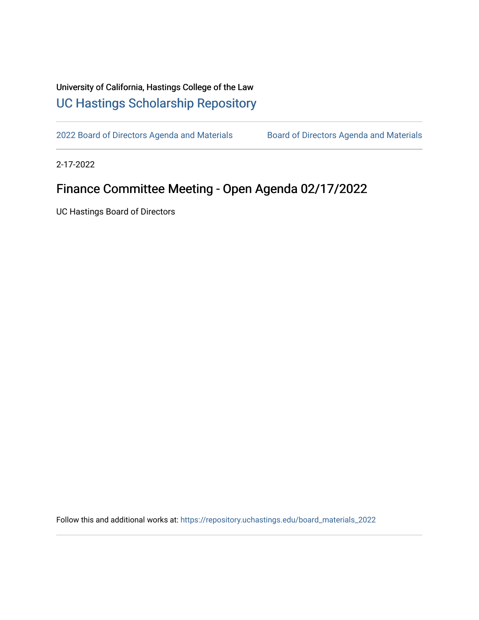## University of California, Hastings College of the Law [UC Hastings Scholarship Repository](https://repository.uchastings.edu/)

[2022 Board of Directors Agenda and Materials](https://repository.uchastings.edu/board_materials_2022) Board of Directors Agenda and Materials

2-17-2022

## Finance Committee Meeting - Open Agenda 02/17/2022

UC Hastings Board of Directors

Follow this and additional works at: [https://repository.uchastings.edu/board\\_materials\\_2022](https://repository.uchastings.edu/board_materials_2022?utm_source=repository.uchastings.edu%2Fboard_materials_2022%2F10&utm_medium=PDF&utm_campaign=PDFCoverPages)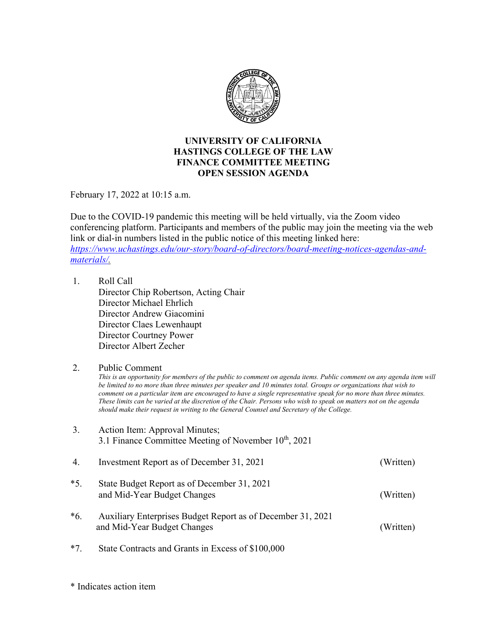

## **UNIVERSITY OF CALIFORNIA HASTINGS COLLEGE OF THE LAW FINANCE COMMITTEE MEETING OPEN SESSION AGENDA**

February 17, 2022 at 10:15 a.m.

Due to the COVID-19 pandemic this meeting will be held virtually, via the Zoom video conferencing platform. Participants and members of the public may join the meeting via the web link or dial-in numbers listed in the public notice of this meeting linked here: *[https://www.uchastings.edu/our-story/board-of-directors/board-meeting-notices-agendas-and](https://www.uchastings.edu/our-story/board-of-directors/board-meeting-notices-agendas-and-materials/)[materials/.](https://www.uchastings.edu/our-story/board-of-directors/board-meeting-notices-agendas-and-materials/)* 

1. Roll Call Director Chip Robertson, Acting Chair Director Michael Ehrlich Director Andrew Giacomini Director Claes Lewenhaupt Director Courtney Power Director Albert Zecher

## 2. Public Comment

*This is an opportunity for members of the public to comment on agenda items. Public comment on any agenda item will be limited to no more than three minutes per speaker and 10 minutes total. Groups or organizations that wish to comment on a particular item are encouraged to have a single representative speak for no more than three minutes. These limits can be varied at the discretion of the Chair. Persons who wish to speak on matters not on the agenda should make their request in writing to the General Counsel and Secretary of the College.*

- 3. Action Item: Approval Minutes; 3.1 Finance Committee Meeting of November  $10^{th}$ , 2021 4. Investment Report as of December 31, 2021 (Written) \*5. State Budget Report as of December 31, 2021 and Mid-Year Budget Changes (Written) \*6. Auxiliary Enterprises Budget Report as of December 31, 2021 and Mid-Year Budget Changes (Written)
- \*7. State Contracts and Grants in Excess of \$100,000